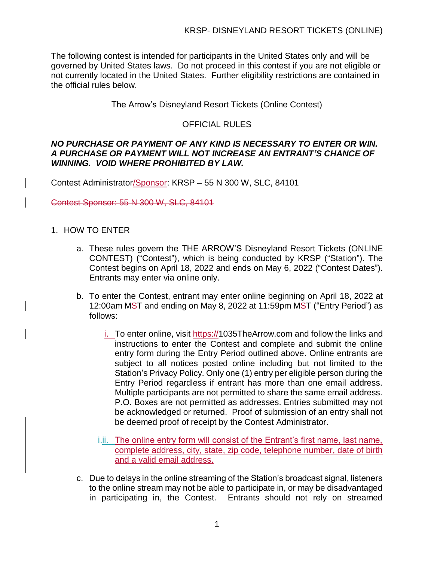The following contest is intended for participants in the United States only and will be governed by United States laws. Do not proceed in this contest if you are not eligible or not currently located in the United States. Further eligibility restrictions are contained in the official rules below.

The Arrow's Disneyland Resort Tickets (Online Contest)

## OFFICIAL RULES

### *NO PURCHASE OR PAYMENT OF ANY KIND IS NECESSARY TO ENTER OR WIN. A PURCHASE OR PAYMENT WILL NOT INCREASE AN ENTRANT'S CHANCE OF WINNING. VOID WHERE PROHIBITED BY LAW.*

Contest Administrator/Sponsor: KRSP – 55 N 300 W, SLC, 84101

Contest Sponsor: 55 N 300 W, SLC, 84101

- 1. HOW TO ENTER
	- a. These rules govern the THE ARROW'S Disneyland Resort Tickets (ONLINE CONTEST) ("Contest"), which is being conducted by KRSP ("Station"). The Contest begins on April 18, 2022 and ends on May 6, 2022 ("Contest Dates"). Entrants may enter via online only.
	- b. To enter the Contest, entrant may enter online beginning on April 18, 2022 at 12:00am MST and ending on May 8, 2022 at 11:59pm MST ("Entry Period") as follows:
		- i. To enter online, visit https://1035TheArrow.com and follow the links and instructions to enter the Contest and complete and submit the online entry form during the Entry Period outlined above. Online entrants are subject to all notices posted online including but not limited to the Station's Privacy Policy. Only one (1) entry per eligible person during the Entry Period regardless if entrant has more than one email address. Multiple participants are not permitted to share the same email address. P.O. Boxes are not permitted as addresses. Entries submitted may not be acknowledged or returned. Proof of submission of an entry shall not be deemed proof of receipt by the Contest Administrator.
		- i.i. The online entry form will consist of the Entrant's first name, last name, complete address, city, state, zip code, telephone number, date of birth and a valid email address.
	- c. Due to delays in the online streaming of the Station's broadcast signal, listeners to the online stream may not be able to participate in, or may be disadvantaged in participating in, the Contest. Entrants should not rely on streamed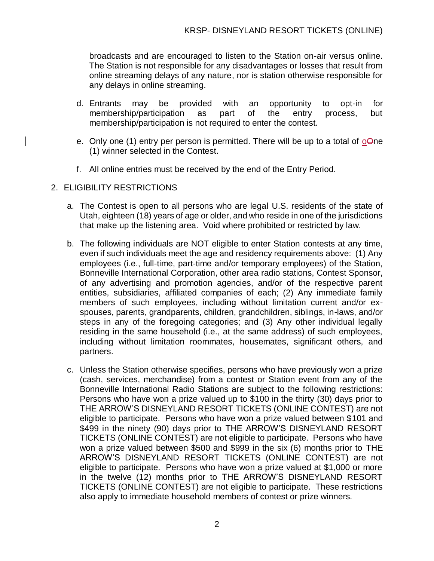broadcasts and are encouraged to listen to the Station on-air versus online. The Station is not responsible for any disadvantages or losses that result from online streaming delays of any nature, nor is station otherwise responsible for any delays in online streaming.

- d. Entrants may be provided with an opportunity to opt-in for membership/participation as part of the entry process, but membership/participation is not required to enter the contest.
- e. Only one (1) entry per person is permitted. There will be up to a total of  $\sigma\Theta$ ne (1) winner selected in the Contest.
- f. All online entries must be received by the end of the Entry Period.

### 2. ELIGIBILITY RESTRICTIONS

- a. The Contest is open to all persons who are legal U.S. residents of the state of Utah, eighteen (18) years of age or older, and who reside in one of the jurisdictions that make up the listening area. Void where prohibited or restricted by law.
- b. The following individuals are NOT eligible to enter Station contests at any time, even if such individuals meet the age and residency requirements above: (1) Any employees (i.e., full-time, part-time and/or temporary employees) of the Station, Bonneville International Corporation, other area radio stations, Contest Sponsor, of any advertising and promotion agencies, and/or of the respective parent entities, subsidiaries, affiliated companies of each; (2) Any immediate family members of such employees, including without limitation current and/or exspouses, parents, grandparents, children, grandchildren, siblings, in-laws, and/or steps in any of the foregoing categories; and (3) Any other individual legally residing in the same household (i.e., at the same address) of such employees, including without limitation roommates, housemates, significant others, and partners.
- c. Unless the Station otherwise specifies, persons who have previously won a prize (cash, services, merchandise) from a contest or Station event from any of the Bonneville International Radio Stations are subject to the following restrictions: Persons who have won a prize valued up to \$100 in the thirty (30) days prior to THE ARROW'S DISNEYLAND RESORT TICKETS (ONLINE CONTEST) are not eligible to participate. Persons who have won a prize valued between \$101 and \$499 in the ninety (90) days prior to THE ARROW'S DISNEYLAND RESORT TICKETS (ONLINE CONTEST) are not eligible to participate. Persons who have won a prize valued between \$500 and \$999 in the six (6) months prior to THE ARROW'S DISNEYLAND RESORT TICKETS (ONLINE CONTEST) are not eligible to participate. Persons who have won a prize valued at \$1,000 or more in the twelve (12) months prior to THE ARROW'S DISNEYLAND RESORT TICKETS (ONLINE CONTEST) are not eligible to participate. These restrictions also apply to immediate household members of contest or prize winners.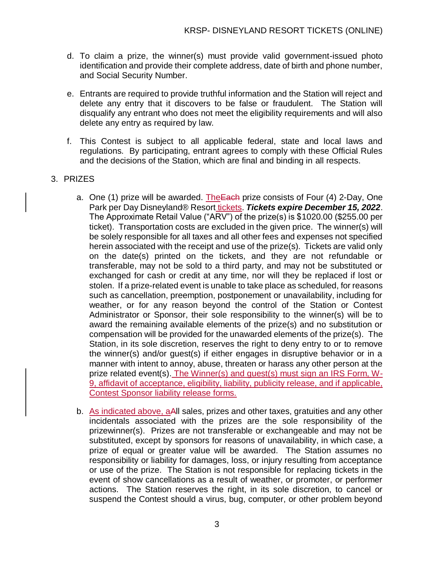- d. To claim a prize, the winner(s) must provide valid government-issued photo identification and provide their complete address, date of birth and phone number, and Social Security Number.
- e. Entrants are required to provide truthful information and the Station will reject and delete any entry that it discovers to be false or fraudulent. The Station will disqualify any entrant who does not meet the eligibility requirements and will also delete any entry as required by law.
- f. This Contest is subject to all applicable federal, state and local laws and regulations. By participating, entrant agrees to comply with these Official Rules and the decisions of the Station, which are final and binding in all respects.

# 3. PRIZES

- a. One (1) prize will be awarded. The Each prize consists of Four (4) 2-Day, One Park per Day Disneyland® Resort tickets. *Tickets expire December 15, 2022*. The Approximate Retail Value ("ARV") of the prize(s) is \$1020.00 (\$255.00 per ticket). Transportation costs are excluded in the given price. The winner(s) will be solely responsible for all taxes and all other fees and expenses not specified herein associated with the receipt and use of the prize(s). Tickets are valid only on the date(s) printed on the tickets, and they are not refundable or transferable, may not be sold to a third party, and may not be substituted or exchanged for cash or credit at any time, nor will they be replaced if lost or stolen. If a prize-related event is unable to take place as scheduled, for reasons such as cancellation, preemption, postponement or unavailability, including for weather, or for any reason beyond the control of the Station or Contest Administrator or Sponsor, their sole responsibility to the winner(s) will be to award the remaining available elements of the prize(s) and no substitution or compensation will be provided for the unawarded elements of the prize(s). The Station, in its sole discretion, reserves the right to deny entry to or to remove the winner(s) and/or guest(s) if either engages in disruptive behavior or in a manner with intent to annoy, abuse, threaten or harass any other person at the prize related event(s). The Winner(s) and guest(s) must sign an IRS Form, W-9, affidavit of acceptance, eligibility, liability, publicity release, and if applicable, Contest Sponsor liability release forms.
- b. As indicated above, aAll sales, prizes and other taxes, gratuities and any other incidentals associated with the prizes are the sole responsibility of the prizewinner(s). Prizes are not transferable or exchangeable and may not be substituted, except by sponsors for reasons of unavailability, in which case, a prize of equal or greater value will be awarded. The Station assumes no responsibility or liability for damages, loss, or injury resulting from acceptance or use of the prize. The Station is not responsible for replacing tickets in the event of show cancellations as a result of weather, or promoter, or performer actions. The Station reserves the right, in its sole discretion, to cancel or suspend the Contest should a virus, bug, computer, or other problem beyond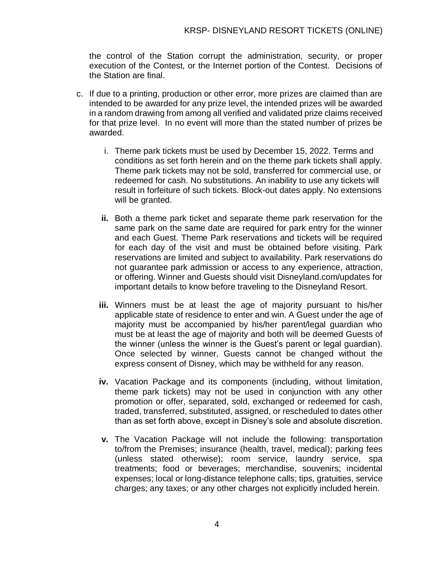the control of the Station corrupt the administration, security, or proper execution of the Contest, or the Internet portion of the Contest. Decisions of the Station are final.

- c. If due to a printing, production or other error, more prizes are claimed than are intended to be awarded for any prize level, the intended prizes will be awarded in a random drawing from among all verified and validated prize claims received for that prize level. In no event will more than the stated number of prizes be awarded.
	- i. Theme park tickets must be used by December 15, 2022. Terms and conditions as set forth herein and on the theme park tickets shall apply. Theme park tickets may not be sold, transferred for commercial use, or redeemed for cash. No substitutions. An inability to use any tickets will result in forfeiture of such tickets. Block-out dates apply. No extensions will be granted.
	- **ii.** Both a theme park ticket and separate theme park reservation for the same park on the same date are required for park entry for the winner and each Guest. Theme Park reservations and tickets will be required for each day of the visit and must be obtained before visiting. Park reservations are limited and subject to availability. Park reservations do not guarantee park admission or access to any experience, attraction, or offering. Winner and Guests should visit Disneyland.com/updates for important details to know before traveling to the Disneyland Resort.
	- **iii.** Winners must be at least the age of majority pursuant to his/her applicable state of residence to enter and win. A Guest under the age of majority must be accompanied by his/her parent/legal guardian who must be at least the age of majority and both will be deemed Guests of the winner (unless the winner is the Guest's parent or legal guardian). Once selected by winner, Guests cannot be changed without the express consent of Disney, which may be withheld for any reason.
	- **iv.** Vacation Package and its components (including, without limitation, theme park tickets) may not be used in conjunction with any other promotion or offer, separated, sold, exchanged or redeemed for cash, traded, transferred, substituted, assigned, or rescheduled to dates other than as set forth above, except in Disney's sole and absolute discretion.
	- **v.** The Vacation Package will not include the following: transportation to/from the Premises; insurance (health, travel, medical); parking fees (unless stated otherwise); room service, laundry service, spa treatments; food or beverages; merchandise, souvenirs; incidental expenses; local or long-distance telephone calls; tips, gratuities, service charges; any taxes; or any other charges not explicitly included herein.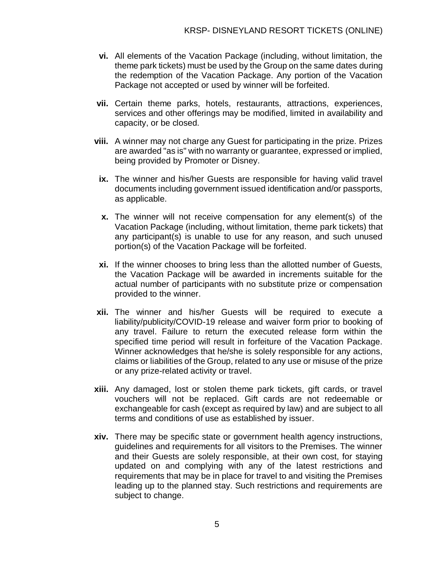- **vi.** All elements of the Vacation Package (including, without limitation, the theme park tickets) must be used by the Group on the same dates during the redemption of the Vacation Package. Any portion of the Vacation Package not accepted or used by winner will be forfeited.
- **vii.** Certain theme parks, hotels, restaurants, attractions, experiences, services and other offerings may be modified, limited in availability and capacity, or be closed.
- **viii.** A winner may not charge any Guest for participating in the prize. Prizes are awarded "as is" with no warranty or guarantee, expressed or implied, being provided by Promoter or Disney.
- **ix.** The winner and his/her Guests are responsible for having valid travel documents including government issued identification and/or passports, as applicable.
- **x.** The winner will not receive compensation for any element(s) of the Vacation Package (including, without limitation, theme park tickets) that any participant(s) is unable to use for any reason, and such unused portion(s) of the Vacation Package will be forfeited.
- **xi.** If the winner chooses to bring less than the allotted number of Guests, the Vacation Package will be awarded in increments suitable for the actual number of participants with no substitute prize or compensation provided to the winner.
- **xii.** The winner and his/her Guests will be required to execute a liability/publicity/COVID-19 release and waiver form prior to booking of any travel. Failure to return the executed release form within the specified time period will result in forfeiture of the Vacation Package. Winner acknowledges that he/she is solely responsible for any actions, claims or liabilities of the Group, related to any use or misuse of the prize or any prize-related activity or travel.
- **xiii.** Any damaged, lost or stolen theme park tickets, gift cards, or travel vouchers will not be replaced. Gift cards are not redeemable or exchangeable for cash (except as required by law) and are subject to all terms and conditions of use as established by issuer.
- **xiv.** There may be specific state or government health agency instructions, guidelines and requirements for all visitors to the Premises. The winner and their Guests are solely responsible, at their own cost, for staying updated on and complying with any of the latest restrictions and requirements that may be in place for travel to and visiting the Premises leading up to the planned stay. Such restrictions and requirements are subject to change.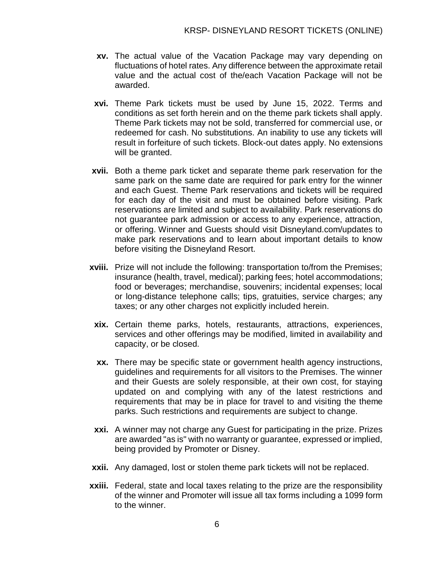- **xv.** The actual value of the Vacation Package may vary depending on fluctuations of hotel rates. Any difference between the approximate retail value and the actual cost of the/each Vacation Package will not be awarded.
- **xvi.** Theme Park tickets must be used by June 15, 2022. Terms and conditions as set forth herein and on the theme park tickets shall apply. Theme Park tickets may not be sold, transferred for commercial use, or redeemed for cash. No substitutions. An inability to use any tickets will result in forfeiture of such tickets. Block-out dates apply. No extensions will be granted.
- **xvii.** Both a theme park ticket and separate theme park reservation for the same park on the same date are required for park entry for the winner and each Guest. Theme Park reservations and tickets will be required for each day of the visit and must be obtained before visiting. Park reservations are limited and subject to availability. Park reservations do not guarantee park admission or access to any experience, attraction, or offering. Winner and Guests should visit Disneyland.com/updates to make park reservations and to learn about important details to know before visiting the Disneyland Resort.
- **xviii.** Prize will not include the following: transportation to/from the Premises; insurance (health, travel, medical); parking fees; hotel accommodations; food or beverages; merchandise, souvenirs; incidental expenses; local or long-distance telephone calls; tips, gratuities, service charges; any taxes; or any other charges not explicitly included herein.
	- **xix.** Certain theme parks, hotels, restaurants, attractions, experiences, services and other offerings may be modified, limited in availability and capacity, or be closed.
	- **xx.** There may be specific state or government health agency instructions, guidelines and requirements for all visitors to the Premises. The winner and their Guests are solely responsible, at their own cost, for staying updated on and complying with any of the latest restrictions and requirements that may be in place for travel to and visiting the theme parks. Such restrictions and requirements are subject to change.
- **xxi.** A winner may not charge any Guest for participating in the prize. Prizes are awarded "as is" with no warranty or guarantee, expressed or implied, being provided by Promoter or Disney.
- **xxii.** Any damaged, lost or stolen theme park tickets will not be replaced.
- **xxiii.** Federal, state and local taxes relating to the prize are the responsibility of the winner and Promoter will issue all tax forms including a 1099 form to the winner.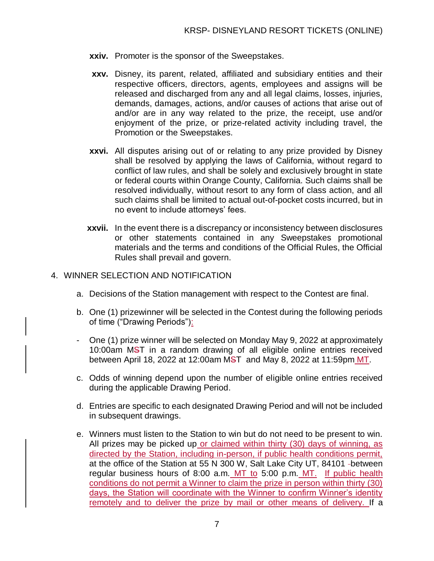- **xxiv.** Promoter is the sponsor of the Sweepstakes.
- **xxv.** Disney, its parent, related, affiliated and subsidiary entities and their respective officers, directors, agents, employees and assigns will be released and discharged from any and all legal claims, losses, injuries, demands, damages, actions, and/or causes of actions that arise out of and/or are in any way related to the prize, the receipt, use and/or enjoyment of the prize, or prize-related activity including travel, the Promotion or the Sweepstakes.
- **xxvi.** All disputes arising out of or relating to any prize provided by Disney shall be resolved by applying the laws of California, without regard to conflict of law rules, and shall be solely and exclusively brought in state or federal courts within Orange County, California. Such claims shall be resolved individually, without resort to any form of class action, and all such claims shall be limited to actual out-of-pocket costs incurred, but in no event to include attorneys' fees.
- **xxvii.** In the event there is a discrepancy or inconsistency between disclosures or other statements contained in any Sweepstakes promotional materials and the terms and conditions of the Official Rules, the Official Rules shall prevail and govern.

#### 4. WINNER SELECTION AND NOTIFICATION

- a. Decisions of the Station management with respect to the Contest are final.
- b. One (1) prizewinner will be selected in the Contest during the following periods of time ("Drawing Periods"):
- One (1) prize winner will be selected on Monday May 9, 2022 at approximately 10:00am MST in a random drawing of all eligible online entries received between April 18, 2022 at 12:00am MST and May 8, 2022 at 11:59pm MT.
- c. Odds of winning depend upon the number of eligible online entries received during the applicable Drawing Period.
- d. Entries are specific to each designated Drawing Period and will not be included in subsequent drawings.
- e. Winners must listen to the Station to win but do not need to be present to win. All prizes may be picked up or claimed within thirty (30) days of winning, as directed by the Station, including in-person, if public health conditions permit, at the office of the Station at 55 N 300 W, Salt Lake City UT, 84101 -between regular business hours of 8:00 a.m. MT to 5:00 p.m. MT. If public health conditions do not permit a Winner to claim the prize in person within thirty (30) days, the Station will coordinate with the Winner to confirm Winner's identity remotely and to deliver the prize by mail or other means of delivery. If a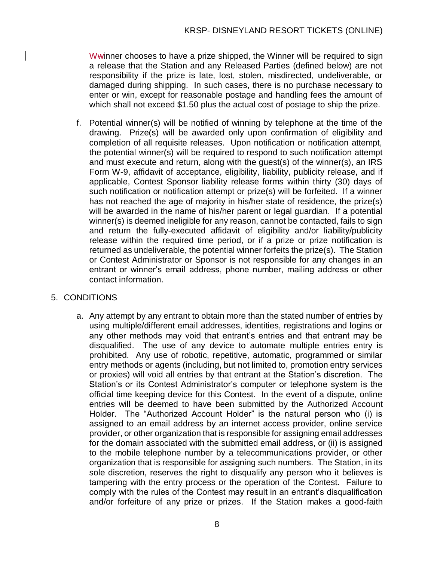Wwinner chooses to have a prize shipped, the Winner will be required to sign a release that the Station and any Released Parties (defined below) are not responsibility if the prize is late, lost, stolen, misdirected, undeliverable, or damaged during shipping. In such cases, there is no purchase necessary to enter or win, except for reasonable postage and handling fees the amount of which shall not exceed \$1.50 plus the actual cost of postage to ship the prize.

f. Potential winner(s) will be notified of winning by telephone at the time of the drawing. Prize(s) will be awarded only upon confirmation of eligibility and completion of all requisite releases. Upon notification or notification attempt, the potential winner(s) will be required to respond to such notification attempt and must execute and return, along with the guest(s) of the winner(s), an IRS Form W-9, affidavit of acceptance, eligibility, liability, publicity release, and if applicable, Contest Sponsor liability release forms within thirty (30) days of such notification or notification attempt or prize(s) will be forfeited. If a winner has not reached the age of majority in his/her state of residence, the prize(s) will be awarded in the name of his/her parent or legal guardian. If a potential winner(s) is deemed ineligible for any reason, cannot be contacted, fails to sign and return the fully-executed affidavit of eligibility and/or liability/publicity release within the required time period, or if a prize or prize notification is returned as undeliverable, the potential winner forfeits the prize(s). The Station or Contest Administrator or Sponsor is not responsible for any changes in an entrant or winner's email address, phone number, mailing address or other contact information.

# 5. CONDITIONS

a. Any attempt by any entrant to obtain more than the stated number of entries by using multiple/different email addresses, identities, registrations and logins or any other methods may void that entrant's entries and that entrant may be disqualified. The use of any device to automate multiple entries entry is prohibited. Any use of robotic, repetitive, automatic, programmed or similar entry methods or agents (including, but not limited to, promotion entry services or proxies) will void all entries by that entrant at the Station's discretion. The Station's or its Contest Administrator's computer or telephone system is the official time keeping device for this Contest. In the event of a dispute, online entries will be deemed to have been submitted by the Authorized Account Holder. The "Authorized Account Holder" is the natural person who (i) is assigned to an email address by an internet access provider, online service provider, or other organization that is responsible for assigning email addresses for the domain associated with the submitted email address, or (ii) is assigned to the mobile telephone number by a telecommunications provider, or other organization that is responsible for assigning such numbers. The Station, in its sole discretion, reserves the right to disqualify any person who it believes is tampering with the entry process or the operation of the Contest. Failure to comply with the rules of the Contest may result in an entrant's disqualification and/or forfeiture of any prize or prizes. If the Station makes a good-faith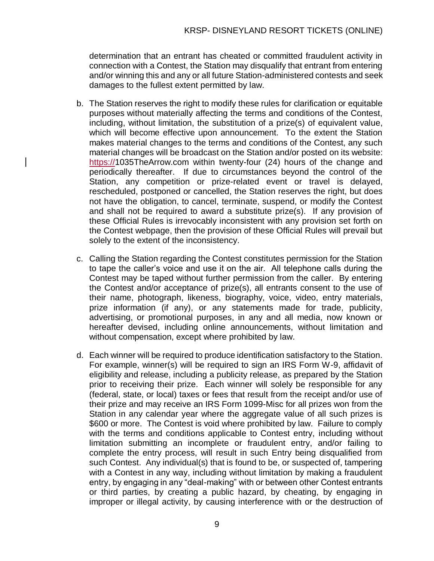determination that an entrant has cheated or committed fraudulent activity in connection with a Contest, the Station may disqualify that entrant from entering and/or winning this and any or all future Station-administered contests and seek damages to the fullest extent permitted by law.

- b. The Station reserves the right to modify these rules for clarification or equitable purposes without materially affecting the terms and conditions of the Contest, including, without limitation, the substitution of a prize(s) of equivalent value, which will become effective upon announcement. To the extent the Station makes material changes to the terms and conditions of the Contest, any such material changes will be broadcast on the Station and/or posted on its website: https://1035TheArrow.com within twenty-four (24) hours of the change and periodically thereafter. If due to circumstances beyond the control of the Station, any competition or prize-related event or travel is delayed, rescheduled, postponed or cancelled, the Station reserves the right, but does not have the obligation, to cancel, terminate, suspend, or modify the Contest and shall not be required to award a substitute prize(s). If any provision of these Official Rules is irrevocably inconsistent with any provision set forth on the Contest webpage, then the provision of these Official Rules will prevail but solely to the extent of the inconsistency.
- c. Calling the Station regarding the Contest constitutes permission for the Station to tape the caller's voice and use it on the air. All telephone calls during the Contest may be taped without further permission from the caller. By entering the Contest and/or acceptance of prize(s), all entrants consent to the use of their name, photograph, likeness, biography, voice, video, entry materials, prize information (if any), or any statements made for trade, publicity, advertising, or promotional purposes, in any and all media, now known or hereafter devised, including online announcements, without limitation and without compensation, except where prohibited by law.
- d. Each winner will be required to produce identification satisfactory to the Station. For example, winner(s) will be required to sign an IRS Form W-9, affidavit of eligibility and release, including a publicity release, as prepared by the Station prior to receiving their prize. Each winner will solely be responsible for any (federal, state, or local) taxes or fees that result from the receipt and/or use of their prize and may receive an IRS Form 1099-Misc for all prizes won from the Station in any calendar year where the aggregate value of all such prizes is \$600 or more. The Contest is void where prohibited by law. Failure to comply with the terms and conditions applicable to Contest entry, including without limitation submitting an incomplete or fraudulent entry, and/or failing to complete the entry process, will result in such Entry being disqualified from such Contest. Any individual(s) that is found to be, or suspected of, tampering with a Contest in any way, including without limitation by making a fraudulent entry, by engaging in any "deal-making" with or between other Contest entrants or third parties, by creating a public hazard, by cheating, by engaging in improper or illegal activity, by causing interference with or the destruction of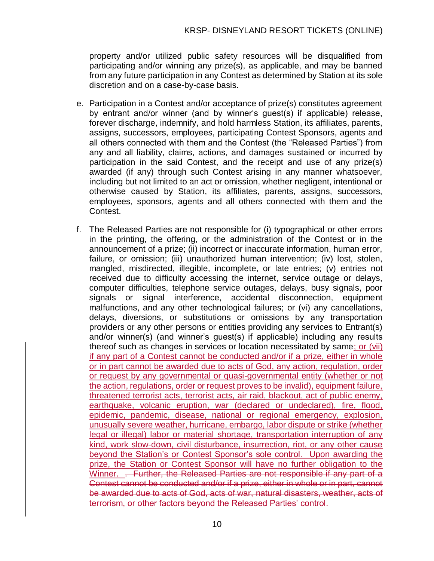property and/or utilized public safety resources will be disqualified from participating and/or winning any prize(s), as applicable, and may be banned from any future participation in any Contest as determined by Station at its sole discretion and on a case-by-case basis.

- e. Participation in a Contest and/or acceptance of prize(s) constitutes agreement by entrant and/or winner (and by winner's guest(s) if applicable) release, forever discharge, indemnify, and hold harmless Station, its affiliates, parents, assigns, successors, employees, participating Contest Sponsors, agents and all others connected with them and the Contest (the "Released Parties") from any and all liability, claims, actions, and damages sustained or incurred by participation in the said Contest, and the receipt and use of any prize(s) awarded (if any) through such Contest arising in any manner whatsoever, including but not limited to an act or omission, whether negligent, intentional or otherwise caused by Station, its affiliates, parents, assigns, successors, employees, sponsors, agents and all others connected with them and the Contest.
- f. The Released Parties are not responsible for (i) typographical or other errors in the printing, the offering, or the administration of the Contest or in the announcement of a prize; (ii) incorrect or inaccurate information, human error, failure, or omission; (iii) unauthorized human intervention; (iv) lost, stolen, mangled, misdirected, illegible, incomplete, or late entries; (v) entries not received due to difficulty accessing the internet, service outage or delays, computer difficulties, telephone service outages, delays, busy signals, poor signals or signal interference, accidental disconnection, equipment malfunctions, and any other technological failures; or (vi) any cancellations, delays, diversions, or substitutions or omissions by any transportation providers or any other persons or entities providing any services to Entrant(s) and/or winner(s) (and winner's guest(s) if applicable) including any results thereof such as changes in services or location necessitated by same; or (vii) if any part of a Contest cannot be conducted and/or if a prize, either in whole or in part cannot be awarded due to acts of God, any action, regulation, order or request by any governmental or quasi-governmental entity (whether or not the action, regulations, order or request proves to be invalid), equipment failure, threatened terrorist acts, terrorist acts, air raid, blackout, act of public enemy, earthquake, volcanic eruption, war (declared or undeclared), fire, flood, epidemic, pandemic, disease, national or regional emergency, explosion, unusually severe weather, hurricane, embargo, labor dispute or strike (whether legal or illegal) labor or material shortage, transportation interruption of any kind, work slow-down, civil disturbance, insurrection, riot, or any other cause beyond the Station's or Contest Sponsor's sole control. Upon awarding the prize, the Station or Contest Sponsor will have no further obligation to the Winner. . Further, the Released Parties are not responsible if any part of a Contest cannot be conducted and/or if a prize, either in whole or in part, cannot be awarded due to acts of God, acts of war, natural disasters, weather, acts of terrorism, or other factors beyond the Released Parties' control.